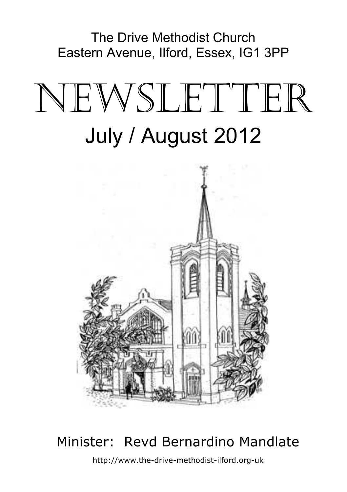The Drive Methodist Church Eastern Avenue, Ilford, Essex, IG1 3PP

# NEWSLETTER July / August 2012



## Minister: Revd Bernardino Mandlate

http://www.the-drive-methodist-ilford.org-uk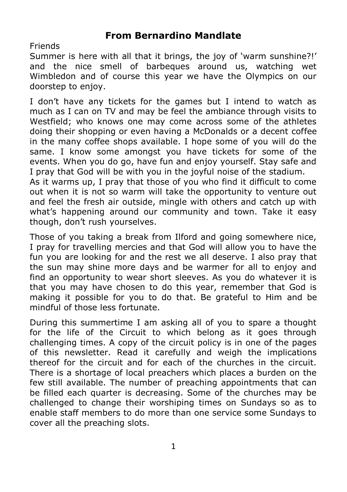## **From Bernardino Mandlate**

Friends

Summer is here with all that it brings, the joy of 'warm sunshine?!' and the nice smell of barbeques around us, watching wet Wimbledon and of course this year we have the Olympics on our doorstep to enjoy.

I don't have any tickets for the games but I intend to watch as much as I can on TV and may be feel the ambiance through visits to Westfield; who knows one may come across some of the athletes doing their shopping or even having a McDonalds or a decent coffee in the many coffee shops available. I hope some of you will do the same. I know some amongst you have tickets for some of the events. When you do go, have fun and enjoy yourself. Stay safe and I pray that God will be with you in the joyful noise of the stadium. As it warms up, I pray that those of you who find it difficult to come

out when it is not so warm will take the opportunity to venture out and feel the fresh air outside, mingle with others and catch up with what's happening around our community and town. Take it easy though, don't rush yourselves.

Those of you taking a break from Ilford and going somewhere nice, I pray for travelling mercies and that God will allow you to have the fun you are looking for and the rest we all deserve. I also pray that the sun may shine more days and be warmer for all to enjoy and find an opportunity to wear short sleeves. As you do whatever it is that you may have chosen to do this year, remember that God is making it possible for you to do that. Be grateful to Him and be mindful of those less fortunate.

During this summertime I am asking all of you to spare a thought for the life of the Circuit to which belong as it goes through challenging times. A copy of the circuit policy is in one of the pages of this newsletter. Read it carefully and weigh the implications thereof for the circuit and for each of the churches in the circuit. There is a shortage of local preachers which places a burden on the few still available. The number of preaching appointments that can be filled each quarter is decreasing. Some of the churches may be challenged to change their worshiping times on Sundays so as to enable staff members to do more than one service some Sundays to cover all the preaching slots.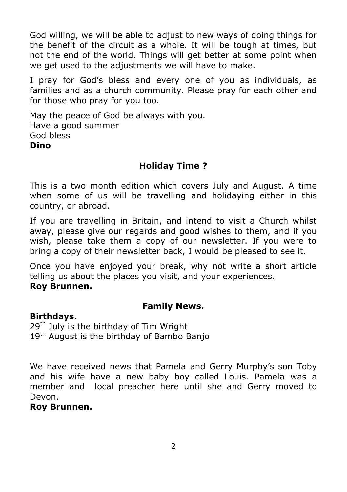God willing, we will be able to adjust to new ways of doing things for the benefit of the circuit as a whole. It will be tough at times, but not the end of the world. Things will get better at some point when we get used to the adjustments we will have to make.

I pray for God's bless and every one of you as individuals, as families and as a church community. Please pray for each other and for those who pray for you too.

May the peace of God be always with you. Have a good summer God bless **Dino**

#### **Holiday Time ?**

This is a two month edition which covers July and August. A time when some of us will be travelling and holidaying either in this country, or abroad.

If you are travelling in Britain, and intend to visit a Church whilst away, please give our regards and good wishes to them, and if you wish, please take them a copy of our newsletter. If you were to bring a copy of their newsletter back, I would be pleased to see it.

Once you have enjoyed your break, why not write a short article telling us about the places you visit, and your experiences.

#### **Roy Brunnen.**

#### **Family News.**

#### **Birthdays.**

29<sup>th</sup> July is the birthday of Tim Wright 19<sup>th</sup> August is the birthday of Bambo Banjo

We have received news that Pamela and Gerry Murphy's son Toby and his wife have a new baby boy called Louis. Pamela was a member and local preacher here until she and Gerry moved to Devon.

#### **Roy Brunnen.**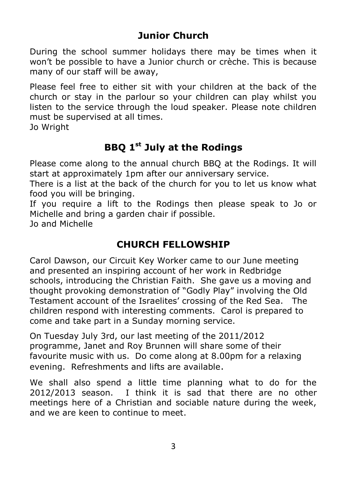## **Junior Church**

During the school summer holidays there may be times when it won't be possible to have a Junior church or crèche. This is because many of our staff will be away,

Please feel free to either sit with your children at the back of the church or stay in the parlour so your children can play whilst you listen to the service through the loud speaker. Please note children must be supervised at all times.

Jo Wright

## **BBQ 1st July at the Rodings**

Please come along to the annual church BBQ at the Rodings. It will start at approximately 1pm after our anniversary service.

There is a list at the back of the church for you to let us know what food you will be bringing.

If you require a lift to the Rodings then please speak to Jo or Michelle and bring a garden chair if possible.

Jo and Michelle

## **CHURCH FELLOWSHIP**

Carol Dawson, our Circuit Key Worker came to our June meeting and presented an inspiring account of her work in Redbridge schools, introducing the Christian Faith. She gave us a moving and thought provoking demonstration of "Godly Play" involving the Old Testament account of the Israelites' crossing of the Red Sea. The children respond with interesting comments. Carol is prepared to come and take part in a Sunday morning service.

On Tuesday July 3rd, our last meeting of the 2011/2012 programme, Janet and Roy Brunnen will share some of their favourite music with us. Do come along at 8.00pm for a relaxing evening. Refreshments and lifts are available.

We shall also spend a little time planning what to do for the 2012/2013 season. I think it is sad that there are no other meetings here of a Christian and sociable nature during the week, and we are keen to continue to meet.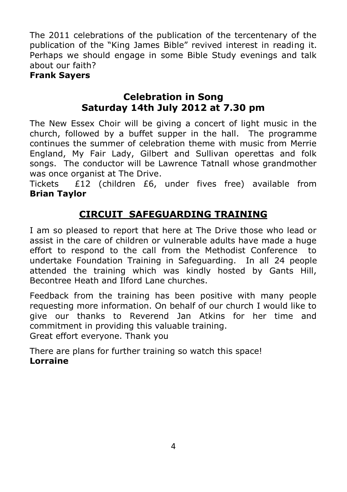The 2011 celebrations of the publication of the tercentenary of the publication of the "King James Bible" revived interest in reading it. Perhaps we should engage in some Bible Study evenings and talk about our faith?

#### **Frank Sayers**

## **Celebration in Song Saturday 14th July 2012 at 7.30 pm**

The New Essex Choir will be giving a concert of light music in the church, followed by a buffet supper in the hall. The programme continues the summer of celebration theme with music from Merrie England, My Fair Lady, Gilbert and Sullivan operettas and folk songs. The conductor will be Lawrence Tatnall whose grandmother was once organist at The Drive.

Tickets £12 (children £6, under fives free) available from **Brian Taylor**

## **CIRCUIT SAFEGUARDING TRAINING**

I am so pleased to report that here at The Drive those who lead or assist in the care of children or vulnerable adults have made a huge effort to respond to the call from the Methodist Conference to undertake Foundation Training in Safeguarding. In all 24 people attended the training which was kindly hosted by Gants Hill, Becontree Heath and Ilford Lane churches.

Feedback from the training has been positive with many people requesting more information. On behalf of our church I would like to give our thanks to Reverend Jan Atkins for her time and commitment in providing this valuable training. Great effort everyone. Thank you

There are plans for further training so watch this space! **Lorraine**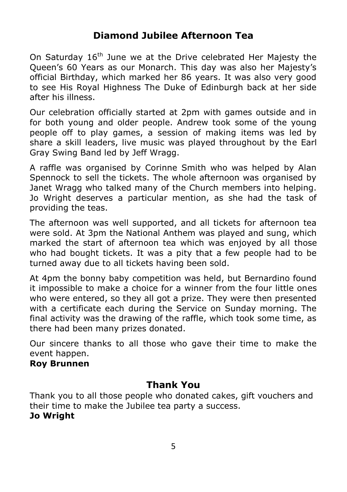## **Diamond Jubilee Afternoon Tea**

On Saturday 16<sup>th</sup> June we at the Drive celebrated Her Majesty the Queen's 60 Years as our Monarch. This day was also her Majesty's official Birthday, which marked her 86 years. It was also very good to see His Royal Highness The Duke of Edinburgh back at her side after his illness.

Our celebration officially started at 2pm with games outside and in for both young and older people. Andrew took some of the young people off to play games, a session of making items was led by share a skill leaders, live music was played throughout by the Earl Gray Swing Band led by Jeff Wragg.

A raffle was organised by Corinne Smith who was helped by Alan Spennock to sell the tickets. The whole afternoon was organised by Janet Wragg who talked many of the Church members into helping. Jo Wright deserves a particular mention, as she had the task of providing the teas.

The afternoon was well supported, and all tickets for afternoon tea were sold. At 3pm the National Anthem was played and sung, which marked the start of afternoon tea which was enjoyed by all those who had bought tickets. It was a pity that a few people had to be turned away due to all tickets having been sold.

At 4pm the bonny baby competition was held, but Bernardino found it impossible to make a choice for a winner from the four little ones who were entered, so they all got a prize. They were then presented with a certificate each during the Service on Sunday morning. The final activity was the drawing of the raffle, which took some time, as there had been many prizes donated.

Our sincere thanks to all those who gave their time to make the event happen.

#### **Roy Brunnen**

#### **Thank You**

Thank you to all those people who donated cakes, gift vouchers and their time to make the Jubilee tea party a success. **Jo Wright**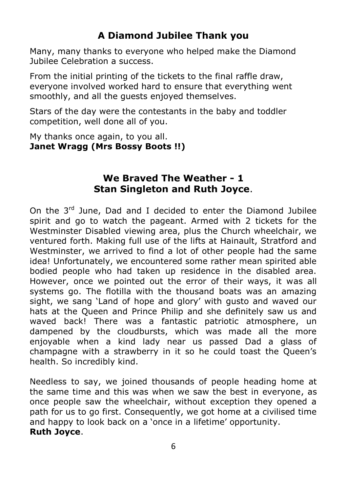## **A Diamond Jubilee Thank you**

Many, many thanks to everyone who helped make the Diamond Jubilee Celebration a success.

From the initial printing of the tickets to the final raffle draw, everyone involved worked hard to ensure that everything went smoothly, and all the guests enjoyed themselves.

Stars of the day were the contestants in the baby and toddler competition, well done all of you.

My thanks once again, to you all. **Janet Wragg (Mrs Bossy Boots !!)**

## **We Braved The Weather - 1 Stan Singleton and Ruth Joyce**.

On the 3<sup>rd</sup> June, Dad and I decided to enter the Diamond Jubilee spirit and go to watch the pageant. Armed with 2 tickets for the Westminster Disabled viewing area, plus the Church wheelchair, we ventured forth. Making full use of the lifts at Hainault, Stratford and Westminster, we arrived to find a lot of other people had the same idea! Unfortunately, we encountered some rather mean spirited able bodied people who had taken up residence in the disabled area. However, once we pointed out the error of their ways, it was all systems go. The flotilla with the thousand boats was an amazing sight, we sang 'Land of hope and glory' with gusto and waved our hats at the Queen and Prince Philip and she definitely saw us and waved back! There was a fantastic patriotic atmosphere, un dampened by the cloudbursts, which was made all the more enjoyable when a kind lady near us passed Dad a glass of champagne with a strawberry in it so he could toast the Queen's health. So incredibly kind.

Needless to say, we joined thousands of people heading home at the same time and this was when we saw the best in everyone, as once people saw the wheelchair, without exception they opened a path for us to go first. Consequently, we got home at a civilised time and happy to look back on a 'once in a lifetime' opportunity. **Ruth Joyce**.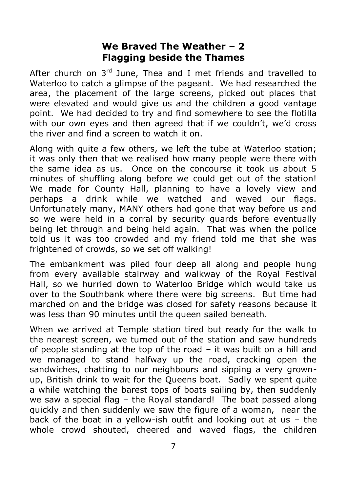## **We Braved The Weather – 2 Flagging beside the Thames**

After church on 3<sup>rd</sup> June, Thea and I met friends and travelled to Waterloo to catch a glimpse of the pageant. We had researched the area, the placement of the large screens, picked out places that were elevated and would give us and the children a good vantage point. We had decided to try and find somewhere to see the flotilla with our own eyes and then agreed that if we couldn't, we'd cross the river and find a screen to watch it on.

Along with quite a few others, we left the tube at Waterloo station; it was only then that we realised how many people were there with the same idea as us. Once on the concourse it took us about 5 minutes of shuffling along before we could get out of the station! We made for County Hall, planning to have a lovely view and perhaps a drink while we watched and waved our flags. Unfortunately many, MANY others had gone that way before us and so we were held in a corral by security guards before eventually being let through and being held again. That was when the police told us it was too crowded and my friend told me that she was frightened of crowds, so we set off walking!

The embankment was piled four deep all along and people hung from every available stairway and walkway of the Royal Festival Hall, so we hurried down to Waterloo Bridge which would take us over to the Southbank where there were big screens. But time had marched on and the bridge was closed for safety reasons because it was less than 90 minutes until the queen sailed beneath.

When we arrived at Temple station tired but ready for the walk to the nearest screen, we turned out of the station and saw hundreds of people standing at the top of the road – it was built on a hill and we managed to stand halfway up the road, cracking open the sandwiches, chatting to our neighbours and sipping a very grownup, British drink to wait for the Queens boat. Sadly we spent quite a while watching the barest tops of boats sailing by, then suddenly we saw a special flag – the Royal standard! The boat passed along quickly and then suddenly we saw the figure of a woman, near the back of the boat in a yellow-ish outfit and looking out at us – the whole crowd shouted, cheered and waved flags, the children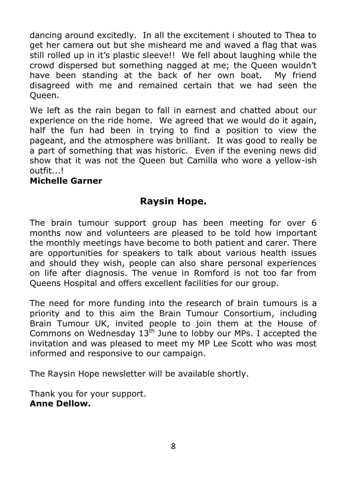dancing around excitedly. In all the excitement i shouted to Thea to get her camera out but she misheard me and waved a flag that was still rolled up in it's plastic sleeve!! We fell about laughing while the crowd dispersed but something nagged at me; the Queen wouldn't have been standing at the back of her own boat. My friend disagreed with me and remained certain that we had seen the Queen.

We left as the rain began to fall in earnest and chatted about our experience on the ride home. We agreed that we would do it again, half the fun had been in trying to find a position to view the pageant, and the atmosphere was brilliant. It was good to really be a part of something that was historic. Even if the evening news did show that it was not the Queen but Camilla who wore a yellow-ish outfit...!

#### **Michelle Garner**

#### **Raysin Hope.**

The brain tumour support group has been meeting for over 6 months now and volunteers are pleased to be told how important the monthly meetings have become to both patient and carer. There are opportunities for speakers to talk about various health issues and should they wish, people can also share personal experiences on life after diagnosis. The venue in Romford is not too far from Queens Hospital and offers excellent facilities for our group.

The need for more funding into the research of brain tumours is a priority and to this aim the Brain Tumour Consortium, including Brain Tumour UK, invited people to join them at the House of Commons on Wednesday  $13<sup>th</sup>$  June to lobby our MPs. I accepted the invitation and was pleased to meet my MP Lee Scott who was most informed and responsive to our campaign.

The Raysin Hope newsletter will be available shortly.

Thank you for your support. **Anne Dellow.**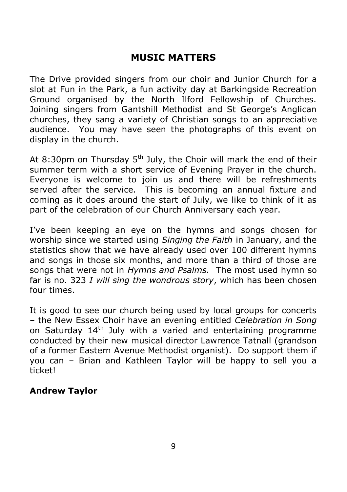## **MUSIC MATTERS**

The Drive provided singers from our choir and Junior Church for a slot at Fun in the Park, a fun activity day at Barkingside Recreation Ground organised by the North Ilford Fellowship of Churches. Joining singers from Gantshill Methodist and St George's Anglican churches, they sang a variety of Christian songs to an appreciative audience. You may have seen the photographs of this event on display in the church.

At 8:30pm on Thursday  $5<sup>th</sup>$  July, the Choir will mark the end of their summer term with a short service of Evening Prayer in the church. Everyone is welcome to join us and there will be refreshments served after the service. This is becoming an annual fixture and coming as it does around the start of July, we like to think of it as part of the celebration of our Church Anniversary each year.

I've been keeping an eye on the hymns and songs chosen for worship since we started using *Singing the Faith* in January, and the statistics show that we have already used over 100 different hymns and songs in those six months, and more than a third of those are songs that were not in *Hymns and Psalms.* The most used hymn so far is no. 323 *I will sing the wondrous story*, which has been chosen four times.

It is good to see our church being used by local groups for concerts – the New Essex Choir have an evening entitled *Celebration in Song* on Saturday 14<sup>th</sup> July with a varied and entertaining programme conducted by their new musical director Lawrence Tatnall (grandson of a former Eastern Avenue Methodist organist). Do support them if you can – Brian and Kathleen Taylor will be happy to sell you a ticket!

#### **Andrew Taylor**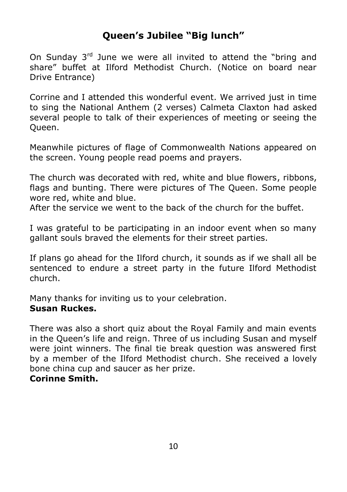## **Queen's Jubilee "Big lunch"**

On Sunday 3<sup>rd</sup> June we were all invited to attend the "bring and share" buffet at Ilford Methodist Church. (Notice on board near Drive Entrance)

Corrine and I attended this wonderful event. We arrived just in time to sing the National Anthem (2 verses) Calmeta Claxton had asked several people to talk of their experiences of meeting or seeing the Queen.

Meanwhile pictures of flage of Commonwealth Nations appeared on the screen. Young people read poems and prayers.

The church was decorated with red, white and blue flowers, ribbons, flags and bunting. There were pictures of The Queen. Some people wore red, white and blue.

After the service we went to the back of the church for the buffet.

I was grateful to be participating in an indoor event when so many gallant souls braved the elements for their street parties.

If plans go ahead for the Ilford church, it sounds as if we shall all be sentenced to endure a street party in the future Ilford Methodist church.

Many thanks for inviting us to your celebration. **Susan Ruckes.**

There was also a short quiz about the Royal Family and main events in the Queen's life and reign. Three of us including Susan and myself were joint winners. The final tie break question was answered first by a member of the Ilford Methodist church. She received a lovely bone china cup and saucer as her prize. **Corinne Smith.**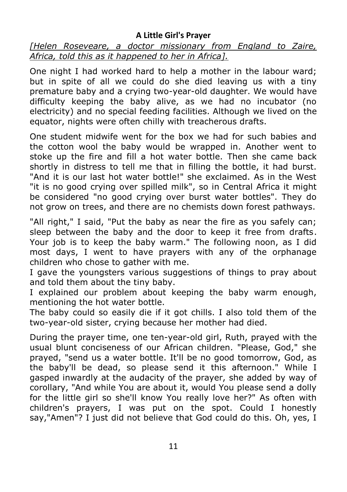#### **A Little Girl's Prayer**

*[Helen Roseveare, a doctor missionary from England to Zaire, Africa, told this as it happened to her in Africa].*

One night I had worked hard to help a mother in the labour ward; but in spite of all we could do she died leaving us with a tiny premature baby and a crying two-year-old daughter. We would have difficulty keeping the baby alive, as we had no incubator (no electricity) and no special feeding facilities. Although we lived on the equator, nights were often chilly with treacherous drafts.

One student midwife went for the box we had for such babies and the cotton wool the baby would be wrapped in. Another went to stoke up the fire and fill a hot water bottle. Then she came back shortly in distress to tell me that in filling the bottle, it had burst. "And it is our last hot water bottle!" she exclaimed. As in the West "it is no good crying over spilled milk", so in Central Africa it might be considered "no good crying over burst water bottles". They do not grow on trees, and there are no chemists down forest pathways.

"All right," I said, "Put the baby as near the fire as you safely can; sleep between the baby and the door to keep it free from drafts. Your job is to keep the baby warm." The following noon, as I did most days, I went to have prayers with any of the orphanage children who chose to gather with me.

I gave the youngsters various suggestions of things to pray about and told them about the tiny baby.

I explained our problem about keeping the baby warm enough, mentioning the hot water bottle.

The baby could so easily die if it got chills. I also told them of the two-year-old sister, crying because her mother had died.

During the prayer time, one ten-year-old girl, Ruth, prayed with the usual blunt conciseness of our African children. "Please, God," she prayed, "send us a water bottle. It'll be no good tomorrow, God, as the baby'll be dead, so please send it this afternoon." While I gasped inwardly at the audacity of the prayer, she added by way of corollary, "And while You are about it, would You please send a dolly for the little girl so she'll know You really love her?" As often with children's prayers, I was put on the spot. Could I honestly say,"Amen"? I just did not believe that God could do this. Oh, yes, I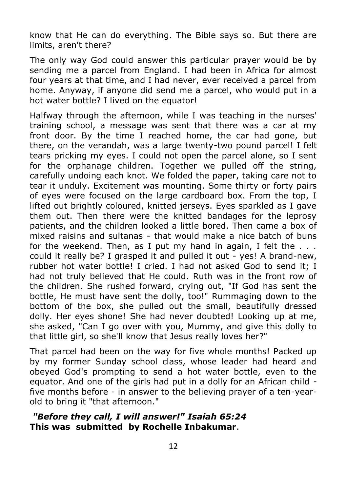know that He can do everything. The Bible says so. But there are limits, aren't there?

The only way God could answer this particular prayer would be by sending me a parcel from England. I had been in Africa for almost four years at that time, and I had never, ever received a parcel from home. Anyway, if anyone did send me a parcel, who would put in a hot water bottle? I lived on the equator!

Halfway through the afternoon, while I was teaching in the nurses' training school, a message was sent that there was a car at my front door. By the time I reached home, the car had gone, but there, on the verandah, was a large twenty-two pound parcel! I felt tears pricking my eyes. I could not open the parcel alone, so I sent for the orphanage children. Together we pulled off the string, carefully undoing each knot. We folded the paper, taking care not to tear it unduly. Excitement was mounting. Some thirty or forty pairs of eyes were focused on the large cardboard box. From the top, I lifted out brightly coloured, knitted jerseys. Eyes sparkled as I gave them out. Then there were the knitted bandages for the leprosy patients, and the children looked a little bored. Then came a box of mixed raisins and sultanas - that would make a nice batch of buns for the weekend. Then, as I put my hand in again, I felt the  $\ldots$ could it really be? I grasped it and pulled it out - yes! A brand-new, rubber hot water bottle! I cried. I had not asked God to send it; I had not truly believed that He could. Ruth was in the front row of the children. She rushed forward, crying out, "If God has sent the bottle, He must have sent the dolly, too!" Rummaging down to the bottom of the box, she pulled out the small, beautifully dressed dolly. Her eyes shone! She had never doubted! Looking up at me, she asked, "Can I go over with you, Mummy, and give this dolly to that little girl, so she'll know that Jesus really loves her?"

That parcel had been on the way for five whole months! Packed up by my former Sunday school class, whose leader had heard and obeyed God's prompting to send a hot water bottle, even to the equator. And one of the girls had put in a dolly for an African child five months before - in answer to the believing prayer of a ten-yearold to bring it "that afternoon."

#### *"Before they call, I will answer!" Isaiah 65:24* **This was submitted by Rochelle Inbakumar**.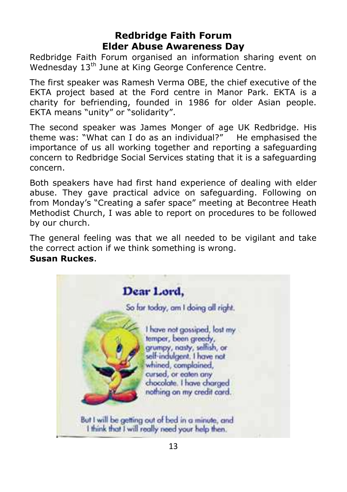## **Redbridge Faith Forum Elder Abuse Awareness Day**

Redbridge Faith Forum organised an information sharing event on Wednesday 13<sup>th</sup> June at King George Conference Centre.

The first speaker was Ramesh Verma OBE, the chief executive of the EKTA project based at the Ford centre in Manor Park. EKTA is a charity for befriending, founded in 1986 for older Asian people. EKTA means "unity" or "solidarity".

The second speaker was James Monger of age UK Redbridge. His theme was: "What can I do as an individual?" He emphasised the importance of us all working together and reporting a safeguarding concern to Redbridge Social Services stating that it is a safeguarding concern.

Both speakers have had first hand experience of dealing with elder abuse. They gave practical advice on safeguarding. Following on from Monday's "Creating a safer space" meeting at Becontree Heath Methodist Church, I was able to report on procedures to be followed by our church.

The general feeling was that we all needed to be vigilant and take the correct action if we think something is wrong.

#### **Susan Ruckes**.

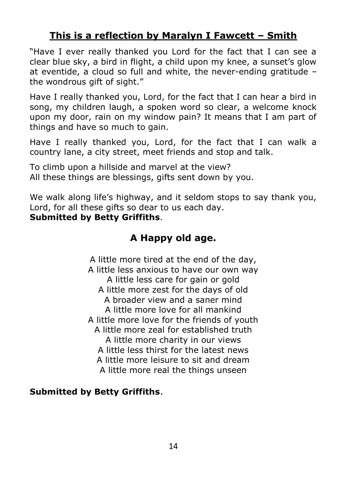## **This is a reflection by Maralyn I Fawcett – Smith**

"Have I ever really thanked you Lord for the fact that I can see a clear blue sky, a bird in flight, a child upon my knee, a sunset's glow at eventide, a cloud so full and white, the never-ending gratitude – the wondrous gift of sight."

Have I really thanked you, Lord, for the fact that I can hear a bird in song, my children laugh, a spoken word so clear, a welcome knock upon my door, rain on my window pain? It means that I am part of things and have so much to gain.

Have I really thanked you, Lord, for the fact that I can walk a country lane, a city street, meet friends and stop and talk.

To climb upon a hillside and marvel at the view? All these things are blessings, gifts sent down by you.

We walk along life's highway, and it seldom stops to say thank you, Lord, for all these gifts so dear to us each day. **Submitted by Betty Griffiths**.

## **A Happy old age.**

A little more tired at the end of the day, A little less anxious to have our own way A little less care for gain or gold A little more zest for the days of old A broader view and a saner mind A little more love for all mankind A little more love for the friends of youth A little more zeal for established truth A little more charity in our views A little less thirst for the latest news A little more leisure to sit and dream A little more real the things unseen

## **Submitted by Betty Griffiths**.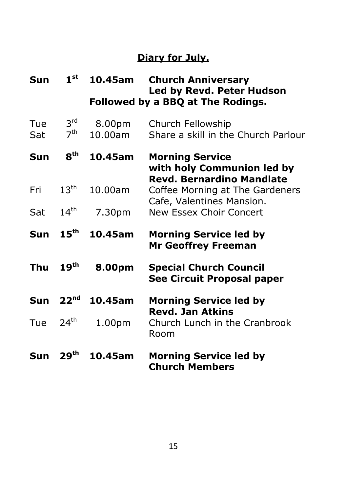## **Diary for July.**

## **Sun 1 st 10.45am Church Anniversary Led by Revd. Peter Hudson Followed by a BBQ at The Rodings.** Tue  $3^{rd}$ <br>Sat  $7^{th}$ 8.00pm Church Fellowship Sat th 10.00am Share a skill in the Church Parlour **Sun 8 th 10.45am Morning Service with holy Communion led by Revd. Bernardino Mandlate** Fri  $13<sup>th</sup>$  10.00am Coffee Morning at The Gardeners Cafe, Valentines Mansion. Sat 14<sup>th</sup> 7.30pm New Essex Choir Concert **Sun 15th 10.45am Morning Service led by Mr Geoffrey Freeman Thu 19th 8.00pm Special Church Council See Circuit Proposal paper Sun 22nd 10.45am Morning Service led by Revd. Jan Atkins** Tue 24<sup>th</sup> 1.00pm Church Lunch in the Cranbrook Room **Sun 29th 10.45am Morning Service led by Church Members**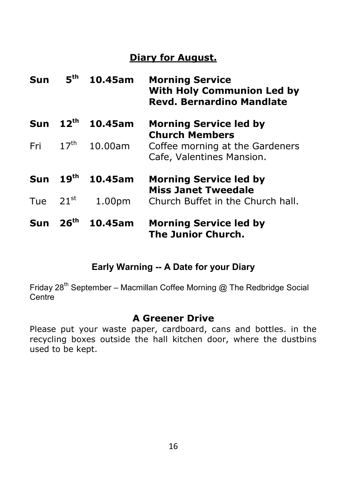## **Diary for August.**

| Sun | $\mathbf{r}^{\text{th}}$ | 10.45am            | <b>Morning Service</b><br><b>With Holy Communion Led by</b><br><b>Revd. Bernardino Mandlate</b> |
|-----|--------------------------|--------------------|-------------------------------------------------------------------------------------------------|
| Sun | $12^{th}$                | 10.45am            | <b>Morning Service led by</b><br><b>Church Members</b>                                          |
| Fri | 17 <sup>th</sup>         | 10.00am            | Coffee morning at the Gardeners<br>Cafe, Valentines Mansion.                                    |
| Sun | 19 <sup>th</sup>         | 10.45am            | <b>Morning Service led by</b><br><b>Miss Janet Tweedale</b>                                     |
| Tue | $21^{st}$                | 1.00 <sub>pm</sub> | Church Buffet in the Church hall.                                                               |
| Sun | 26 <sup>th</sup>         | 10.45am            | <b>Morning Service led by</b><br><b>The Junior Church.</b>                                      |

## **Early Warning -- A Date for your Diary**

Friday 28<sup>th</sup> September – Macmillan Coffee Morning  $\omega$  The Redbridge Social Centre

## **A Greener Drive**

Please put your waste paper, cardboard, cans and bottles. in the recycling boxes outside the hall kitchen door, where the dustbins used to be kept.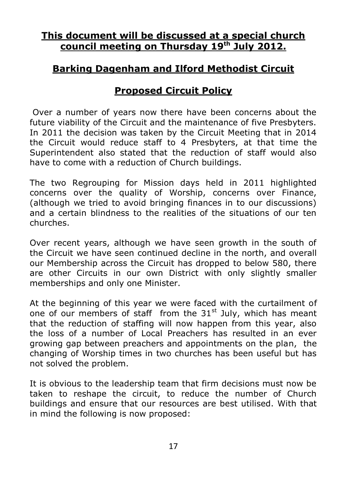## **This document will be discussed at a special church council meeting on Thursday 19th July 2012.**

## **Barking Dagenham and Ilford Methodist Circuit**

## **Proposed Circuit Policy**

Over a number of years now there have been concerns about the future viability of the Circuit and the maintenance of five Presbyters. In 2011 the decision was taken by the Circuit Meeting that in 2014 the Circuit would reduce staff to 4 Presbyters, at that time the Superintendent also stated that the reduction of staff would also have to come with a reduction of Church buildings.

The two Regrouping for Mission days held in 2011 highlighted concerns over the quality of Worship, concerns over Finance, (although we tried to avoid bringing finances in to our discussions) and a certain blindness to the realities of the situations of our ten churches.

Over recent years, although we have seen growth in the south of the Circuit we have seen continued decline in the north, and overall our Membership across the Circuit has dropped to below 580, there are other Circuits in our own District with only slightly smaller memberships and only one Minister.

At the beginning of this year we were faced with the curtailment of one of our members of staff from the  $31<sup>st</sup>$  July, which has meant that the reduction of staffing will now happen from this year, also the loss of a number of Local Preachers has resulted in an ever growing gap between preachers and appointments on the plan, the changing of Worship times in two churches has been useful but has not solved the problem.

It is obvious to the leadership team that firm decisions must now be taken to reshape the circuit, to reduce the number of Church buildings and ensure that our resources are best utilised. With that in mind the following is now proposed: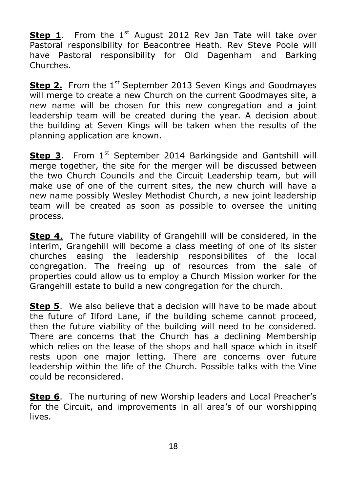**Step 1.** From the 1<sup>st</sup> August 2012 Rev Jan Tate will take over Pastoral responsibility for Beacontree Heath. Rev Steve Poole will have Pastoral responsibility for Old Dagenham and Barking Churches.

**Step 2.** From the 1<sup>st</sup> September 2013 Seven Kings and Goodmayes will merge to create a new Church on the current Goodmayes site, a new name will be chosen for this new congregation and a joint leadership team will be created during the year. A decision about the building at Seven Kings will be taken when the results of the planning application are known.

**Step 3.** From 1<sup>st</sup> September 2014 Barkingside and Gantshill will merge together, the site for the merger will be discussed between the two Church Councils and the Circuit Leadership team, but will make use of one of the current sites, the new church will have a new name possibly Wesley Methodist Church, a new joint leadership team will be created as soon as possible to oversee the uniting process.

**Step 4**. The future viability of Grangehill will be considered, in the interim, Grangehill will become a class meeting of one of its sister churches easing the leadership responsibilites of the local congregation. The freeing up of resources from the sale of properties could allow us to employ a Church Mission worker for the Grangehill estate to build a new congregation for the church.

**Step 5.** We also believe that a decision will have to be made about the future of Ilford Lane, if the building scheme cannot proceed, then the future viability of the building will need to be considered. There are concerns that the Church has a declining Membership which relies on the lease of the shops and hall space which in itself rests upon one major letting. There are concerns over future leadership within the life of the Church. Possible talks with the Vine could be reconsidered.

**Step 6**. The nurturing of new Worship leaders and Local Preacher's for the Circuit, and improvements in all area's of our worshipping lives.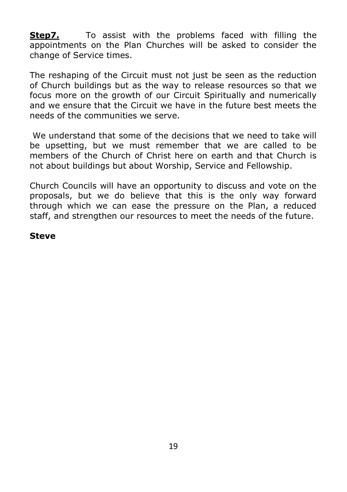**Step7.** To assist with the problems faced with filling the appointments on the Plan Churches will be asked to consider the change of Service times.

The reshaping of the Circuit must not just be seen as the reduction of Church buildings but as the way to release resources so that we focus more on the growth of our Circuit Spiritually and numerically and we ensure that the Circuit we have in the future best meets the needs of the communities we serve.

We understand that some of the decisions that we need to take will be upsetting, but we must remember that we are called to be members of the Church of Christ here on earth and that Church is not about buildings but about Worship, Service and Fellowship.

Church Councils will have an opportunity to discuss and vote on the proposals, but we do believe that this is the only way forward through which we can ease the pressure on the Plan, a reduced staff, and strengthen our resources to meet the needs of the future.

#### **Steve**